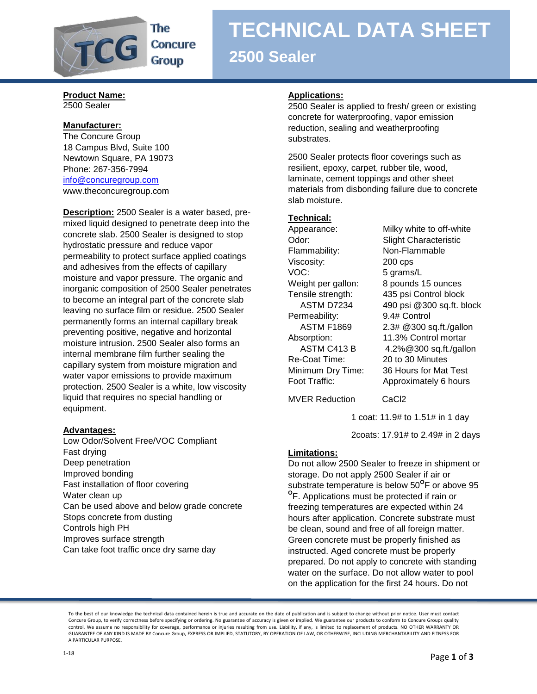

**TECHNICAL DATA SHEET 2500 Sealer**

### **Product Name:** 2500 Sealer

## **Manufacturer:**

The Concure Group 18 Campus Blvd, Suite 100 Newtown Square, PA 19073 Phone: 267-356-7994 [info@concuregroup.com](mailto:info@concuregroup.com) www.theconcuregroup.com

**Description:** 2500 Sealer is a water based, premixed liquid designed to penetrate deep into the concrete slab. 2500 Sealer is designed to stop hydrostatic pressure and reduce vapor permeability to protect surface applied coatings and adhesives from the effects of capillary moisture and vapor pressure. The organic and inorganic composition of 2500 Sealer penetrates to become an integral part of the concrete slab leaving no surface film or residue. 2500 Sealer permanently forms an internal capillary break preventing positive, negative and horizontal moisture intrusion. 2500 Sealer also forms an internal membrane film further sealing the capillary system from moisture migration and water vapor emissions to provide maximum protection. 2500 Sealer is a white, low viscosity liquid that requires no special handling or equipment.

# **Advantages:**

Low Odor/Solvent Free/VOC Compliant Fast drying Deep penetration Improved bonding Fast installation of floor covering Water clean up Can be used above and below grade concrete Stops concrete from dusting Controls high PH Improves surface strength Can take foot traffic once dry same day

## **Applications:**

2500 Sealer is applied to fresh/ green or existing concrete for waterproofing, vapor emission reduction, sealing and weatherproofing substrates.

2500 Sealer protects floor coverings such as resilient, epoxy, carpet, rubber tile, wood, laminate, cement toppings and other sheet materials from disbonding failure due to concrete slab moisture.

# **Technical:**

Flammability: Non-Flammable Viscosity: 200 cps VOC: 5 grams/L Permeability: 9.4# Control Re-Coat Time: 20 to 30 Minutes

Appearance: Milky white to off-white Odor: Slight Characteristic Weight per gallon: 8 pounds 15 ounces Tensile strength: 435 psi Control block ASTM D7234 490 psi @300 sq.ft. block ASTM F1869 2.3# @300 sq.ft./gallon Absorption: 11.3% Control mortar ASTM C413 B 4.2%@300 sq.ft./gallon Minimum Dry Time: 36 Hours for Mat Test Foot Traffic: Approximately 6 hours

MVER Reduction CaCl2

1 coat: 11.9# to 1.51# in 1 day

2coats: 17.91# to 2.49# in 2 days

# **Limitations:**

Do not allow 2500 Sealer to freeze in shipment or storage. Do not apply 2500 Sealer if air or substrate temperature is below 50<sup>o</sup>F or above 95 **O** F. Applications must be protected if rain or freezing temperatures are expected within 24 hours after application. Concrete substrate must be clean, sound and free of all foreign matter. Green concrete must be properly finished as instructed. Aged concrete must be properly prepared. Do not apply to concrete with standing water on the surface. Do not allow water to pool on the application for the first 24 hours. Do not

To the best of our knowledge the technical data contained herein is true and accurate on the date of publication and is subject to change without prior notice. User must contact Concure Group, to verify correctness before specifying or ordering. No guarantee of accuracy is given or implied. We guarantee our products to conform to Concure Groups quality control. We assume no responsibility for coverage, performance or injuries resulting from use. Liability, if any, is limited to replacement of products. NO OTHER WARRANTY OR GUARANTEE OF ANY KIND IS MADE BY Concure Group, EXPRESS OR IMPLIED, STATUTORY, BY OPERATION OF LAW, OR OTHERWISE, INCLUDING MERCHANTABILITY AND FITNESS FOR A PARTICULAR PURPOSE.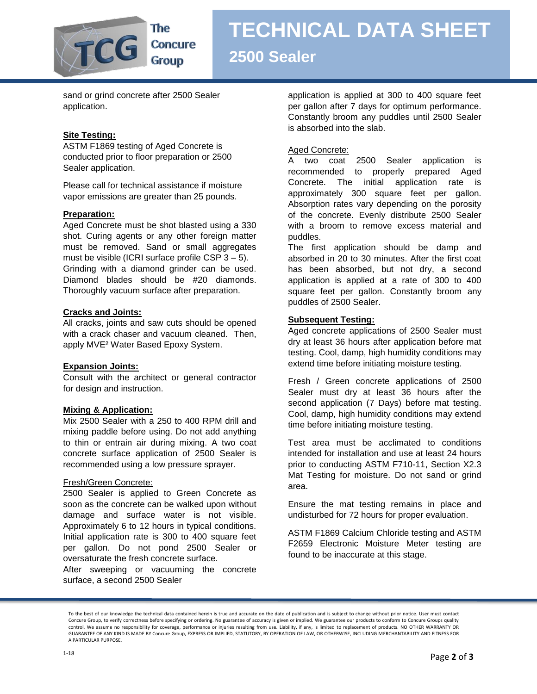

# **TECHNICAL DATA SHEET 2500 Sealer**

sand or grind concrete after 2500 Sealer application.

# **Site Testing:**

ASTM F1869 testing of Aged Concrete is conducted prior to floor preparation or 2500 Sealer application.

Please call for technical assistance if moisture vapor emissions are greater than 25 pounds.

## **Preparation:**

Aged Concrete must be shot blasted using a 330 shot. Curing agents or any other foreign matter must be removed. Sand or small aggregates must be visible (ICRI surface profile CSP  $3 - 5$ ). Grinding with a diamond grinder can be used. Diamond blades should be #20 diamonds. Thoroughly vacuum surface after preparation.

### **Cracks and Joints:**

All cracks, joints and saw cuts should be opened with a crack chaser and vacuum cleaned. Then, apply MVE² Water Based Epoxy System.

### **Expansion Joints:**

Consult with the architect or general contractor for design and instruction.

### **Mixing & Application:**

Mix 2500 Sealer with a 250 to 400 RPM drill and mixing paddle before using. Do not add anything to thin or entrain air during mixing. A two coat concrete surface application of 2500 Sealer is recommended using a low pressure sprayer.

### Fresh/Green Concrete:

2500 Sealer is applied to Green Concrete as soon as the concrete can be walked upon without damage and surface water is not visible. Approximately 6 to 12 hours in typical conditions. Initial application rate is 300 to 400 square feet per gallon. Do not pond 2500 Sealer or oversaturate the fresh concrete surface.

After sweeping or vacuuming the concrete surface, a second 2500 Sealer

application is applied at 300 to 400 square feet per gallon after 7 days for optimum performance. Constantly broom any puddles until 2500 Sealer is absorbed into the slab.

## Aged Concrete:

A two coat 2500 Sealer application is recommended to properly prepared Aged Concrete. The initial application rate is approximately 300 square feet per gallon. Absorption rates vary depending on the porosity of the concrete. Evenly distribute 2500 Sealer with a broom to remove excess material and puddles.

The first application should be damp and absorbed in 20 to 30 minutes. After the first coat has been absorbed, but not dry, a second application is applied at a rate of 300 to 400 square feet per gallon. Constantly broom any puddles of 2500 Sealer.

# **Subsequent Testing:**

Aged concrete applications of 2500 Sealer must dry at least 36 hours after application before mat testing. Cool, damp, high humidity conditions may extend time before initiating moisture testing.

Fresh / Green concrete applications of 2500 Sealer must dry at least 36 hours after the second application (7 Days) before mat testing. Cool, damp, high humidity conditions may extend time before initiating moisture testing.

Test area must be acclimated to conditions intended for installation and use at least 24 hours prior to conducting ASTM F710-11, Section X2.3 Mat Testing for moisture. Do not sand or grind area.

Ensure the mat testing remains in place and undisturbed for 72 hours for proper evaluation.

ASTM F1869 Calcium Chloride testing and ASTM F2659 Electronic Moisture Meter testing are found to be inaccurate at this stage.

To the best of our knowledge the technical data contained herein is true and accurate on the date of publication and is subject to change without prior notice. User must contact Concure Group, to verify correctness before specifying or ordering. No guarantee of accuracy is given or implied. We guarantee our products to conform to Concure Groups quality control. We assume no responsibility for coverage, performance or injuries resulting from use. Liability, if any, is limited to replacement of products. NO OTHER WARRANTY OR GUARANTEE OF ANY KIND IS MADE BY Concure Group, EXPRESS OR IMPLIED, STATUTORY, BY OPERATION OF LAW, OR OTHERWISE, INCLUDING MERCHANTABILITY AND FITNESS FOR A PARTICULAR PURPOSE.